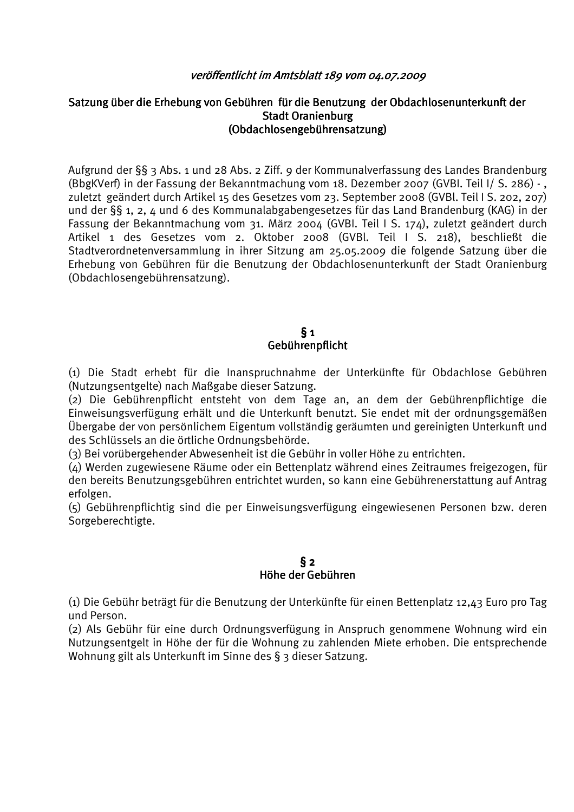#### veröffentlicht im Amtsblatt 189 vom 04.07.2009

### Satzung über die Erhebung von Gebühren für die Benutzung der Obdachlosenunterkunft der **Stadt Oranienburg** (Obdachlosengebührensatzung)

Aufgrund der §§ 3 Abs. 1 und 28 Abs. 2 Ziff. 9 der Kommunalverfassung des Landes Brandenburg (BbgKVerf) in der Fassung der Bekanntmachung vom 18. Dezember 2007 (GVBI. Teil I/ S. 286) -, zuletzt geändert durch Artikel 15 des Gesetzes vom 23. September 2008 (GVBI, Teil I S. 202. 207) und der §§ 1, 2, 4 und 6 des Kommunalabgabengesetzes für das Land Brandenburg (KAG) in der Fassung der Bekanntmachung vom 31. März 2004 (GVBI. Teil I S. 174), zuletzt geändert durch Artikel 1 des Gesetzes vom 2. Oktober 2008 (GVBl. Teil I S. 218), beschließt die Stadtverordnetenversammlung in ihrer Sitzung am 25.05.2009 die folgende Satzung über die Erhebung von Gebühren für die Benutzung der Obdachlosenunterkunft der Stadt Oranienburg (Obdachlosengebührensatzung).

#### $\S_1$ Gebührenpflicht

(1) Die Stadt erhebt für die Inanspruchnahme der Unterkünfte für Obdachlose Gebühren (Nutzungsentgelte) nach Maßgabe dieser Satzung.

(2) Die Gebührenpflicht entsteht von dem Tage an, an dem der Gebührenpflichtige die Einweisungsverfügung erhält und die Unterkunft benutzt. Sie endet mit der ordnungsgemäßen Übergabe der von persönlichem Eigentum vollständig geräumten und gereinigten Unterkunft und des Schlüssels an die örtliche Ordnungsbehörde.

(3) Bei vorübergehender Abwesenheit ist die Gebühr in voller Höhe zu entrichten.

(4) Werden zugewiesene Räume oder ein Bettenplatz während eines Zeitraumes freigezogen, für den bereits Benutzungsgebühren entrichtet wurden, so kann eine Gebührenerstattung auf Antrag erfolgen.

(5) Gebührenpflichtig sind die per Einweisungsverfügung eingewiesenen Personen bzw. deren Sorgeberechtigte.

### $\S$  2 Höhe der Gebühren

(1) Die Gebühr beträgt für die Benutzung der Unterkünfte für einen Bettenplatz 12,43 Euro pro Tag und Person.

(2) Als Gebühr für eine durch Ordnungsverfügung in Anspruch genommene Wohnung wird ein Nutzungsentgelt in Höhe der für die Wohnung zu zahlenden Miete erhoben. Die entsprechende Wohnung gilt als Unterkunft im Sinne des § 3 dieser Satzung.